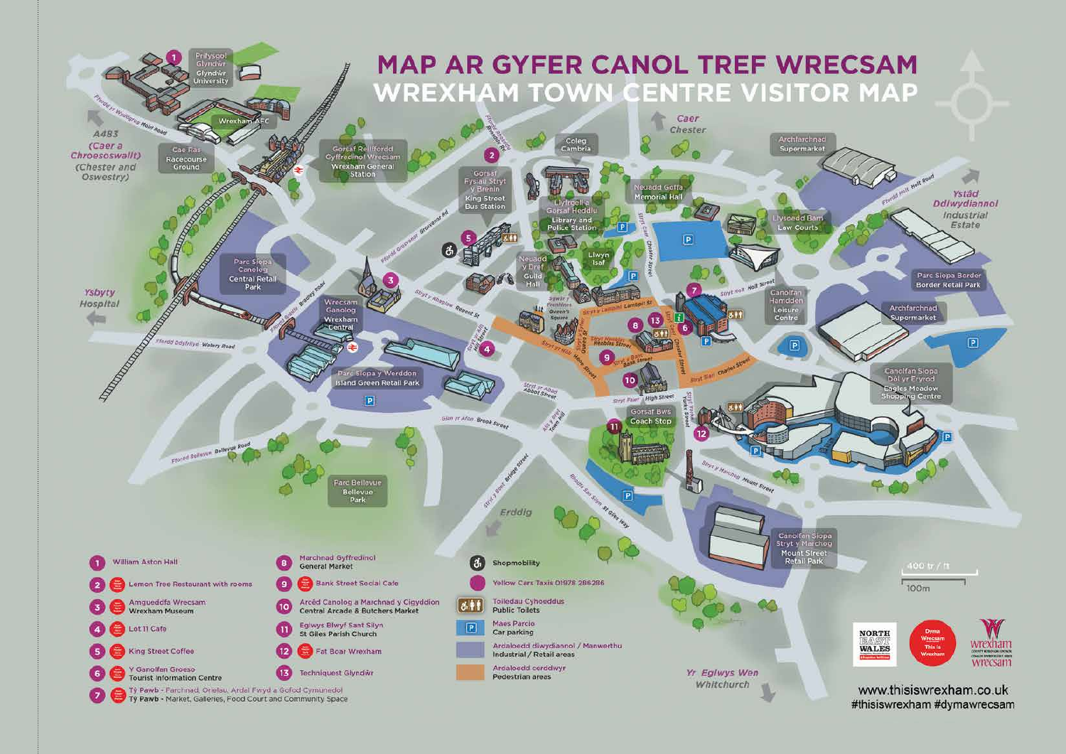